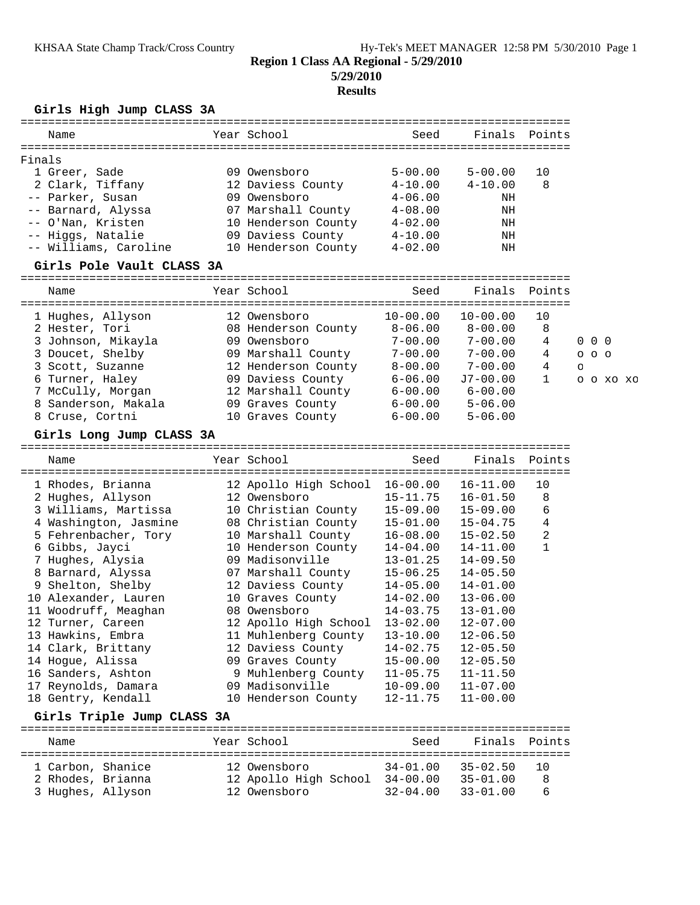### **5/29/2010**

### **Results**

### **Girls High Jump CLASS 3A**

| Name                  | Year School         | Seed        | Finals Points |    |
|-----------------------|---------------------|-------------|---------------|----|
| Finals                |                     |             |               |    |
| 1 Greer, Sade         | 09 Owensboro        | $5 - 00.00$ | $5 - 00.00$   | 10 |
| 2 Clark, Tiffany      | 12 Daviess County   | $4 - 10.00$ | $4 - 10.00$   | 8  |
| -- Parker, Susan      | 09 Owensboro        | $4 - 06.00$ | ΝH            |    |
| -- Barnard, Alyssa    | 07 Marshall County  | $4 - 08.00$ | ΝH            |    |
| -- O'Nan, Kristen     | 10 Henderson County | $4 - 02.00$ | ΝH            |    |
| -- Higgs, Natalie     | 09 Daviess County   | $4 - 10.00$ | ΝH            |    |
| -- Williams, Caroline | 10 Henderson County | $4 - 02.00$ | ΝH            |    |
|                       |                     |             |               |    |

### **Girls Pole Vault CLASS 3A**

================================================================================

| Name                | Year School         | Seed         | Finals Points |    |                   |          |  |
|---------------------|---------------------|--------------|---------------|----|-------------------|----------|--|
| 1 Hughes, Allyson   | 12 Owensboro        | $10 - 00.00$ | $10 - 00.00$  | 10 |                   |          |  |
| 2 Hester, Tori      | 08 Henderson County | $8 - 06.00$  | $8 - 00.00$   | 8  |                   |          |  |
| 3 Johnson, Mikayla  | 09 Owensboro        | $7 - 00.00$  | $7 - 00.00$   | 4  | $0\quad 0\quad 0$ |          |  |
| 3 Doucet, Shelby    | 09 Marshall County  | $7 - 00.00$  | $7 - 00.00$   | 4  | $O$ $O$ $O$       |          |  |
| 3 Scott, Suzanne    | 12 Henderson County | $8 - 00.00$  | $7 - 00.00$   | 4  | $\circ$           |          |  |
| 6 Turner, Haley     | 09 Daviess County   | $6 - 06.00$  | J7-00.00      |    |                   | 00000000 |  |
| 7 McCully, Morgan   | 12 Marshall County  | $6 - 00.00$  | $6 - 00.00$   |    |                   |          |  |
| 8 Sanderson, Makala | 09 Graves County    | $6 - 00.00$  | $5 - 06.00$   |    |                   |          |  |
| 8 Cruse, Cortni     | 10 Graves County    | $6 - 00.00$  | $5 - 06.00$   |    |                   |          |  |

#### **Girls Long Jump CLASS 3A**

================================================================================ Name Year School Seed Finals Points ================================================================================ 1 Rhodes, Brianna 12 Apollo High School 16-00.00 16-11.00 10 2 Hughes, Allyson 12 Owensboro 15-11.75 16-01.50 8 3 Williams, Martissa 10 Christian County 15-09.00 15-09.00 6 4 Washington, Jasmine 08 Christian County 15-01.00 15-04.75 4 5 Fehrenbacher, Tory 10 Marshall County 16-08.00 15-02.50 2 6 Gibbs, Jayci 10 Henderson County 14-04.00 14-11.00 1 7 Hughes, Alysia 09 Madisonville 13-01.25 14-09.50 8 Barnard, Alyssa 07 Marshall County 15-06.25 14-05.50 9 Shelton, Shelby 12 Daviess County 14-05.00 14-01.00 10 Alexander, Lauren 10 Graves County 14-02.00 13-06.00 11 Woodruff, Meaghan 08 Owensboro 14-03.75 13-01.00 12 Turner, Careen 12 Apollo High School 13-02.00 12-07.00 13 Hawkins, Embra 11 Muhlenberg County 13-10.00 12-06.50 14 Clark, Brittany 12 Daviess County 14-02.75 12-05.50 14 Hogue, Alissa 09 Graves County 15-00.00 12-05.50 16 Sanders, Ashton 9 Muhlenberg County 11-05.75 11-11.50 17 Reynolds, Damara 09 Madisonville 10-09.00 11-07.00 18 Gentry, Kendall 10 Henderson County 12-11.75 11-00.00

## **Girls Triple Jump CLASS 3A**

| Name              | Year School           | Seed         | Finals Points |     |
|-------------------|-----------------------|--------------|---------------|-----|
| 1 Carbon, Shanice | 12 Owensboro          | 34-01.00     | 35-02.50      | 1 O |
| 2 Rhodes, Brianna | 12 Apollo High School | $34 - 00.00$ | $35 - 01.00$  | 8   |
| 3 Hughes, Allyson | 12 Owensboro          | $32 - 04.00$ | $33 - 01.00$  | ี   |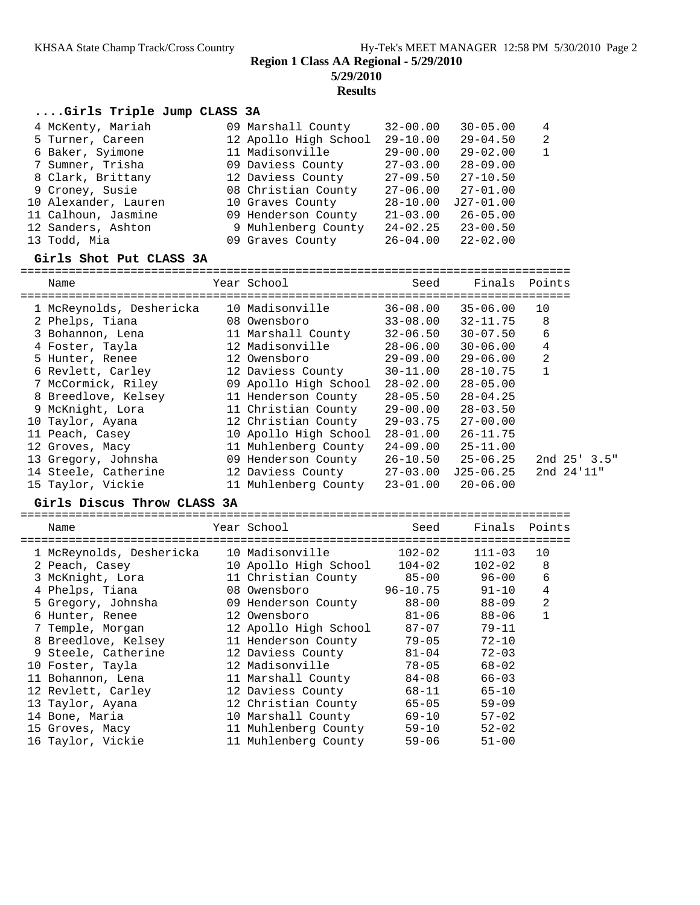## **5/29/2010 Results**

## **....Girls Triple Jump CLASS 3A**

| 4 McKenty, Mariah    | 09 Marshall County    | $32 - 00.00$ | $30 - 05.00$ | $\overline{4}$ |
|----------------------|-----------------------|--------------|--------------|----------------|
| 5 Turner, Careen     | 12 Apollo High School | $29 - 10.00$ | $29 - 04.50$ | $\overline{2}$ |
| 6 Baker, Syimone     | 11 Madisonville       | $29 - 00.00$ | $29 - 02.00$ | $\mathbf{1}$   |
| 7 Sumner, Trisha     | 09 Daviess County     | $27 - 03.00$ | $28 - 09.00$ |                |
| 8 Clark, Brittany    | 12 Daviess County     | $27 - 09.50$ | $27 - 10.50$ |                |
| 9 Croney, Susie      | 08 Christian County   | $27 - 06.00$ | $27 - 01.00$ |                |
| 10 Alexander, Lauren | 10 Graves County      | $28 - 10.00$ | $J27-01.00$  |                |
| 11 Calhoun, Jasmine  | 09 Henderson County   | $21 - 03.00$ | $26 - 05.00$ |                |
| 12 Sanders, Ashton   | 9 Muhlenberg County   | $24 - 02.25$ | $23 - 00.50$ |                |
| 13 Todd, Mia         | 09 Graves County      | 26-04.00     | $22 - 02.00$ |                |

#### **Girls Shot Put CLASS 3A**

================================================================================

| Name                     | Year School           | Seed         | Finals       | Points             |
|--------------------------|-----------------------|--------------|--------------|--------------------|
| 1 McReynolds, Deshericka | 10 Madisonville       | $36 - 08.00$ | $35 - 06.00$ | 10                 |
| 2 Phelps, Tiana          | 08 Owensboro          | $33 - 08.00$ | $32 - 11.75$ | 8                  |
| 3 Bohannon, Lena         | 11 Marshall County    | $32 - 06.50$ | $30 - 07.50$ | 6                  |
| 4 Foster, Tayla          | 12 Madisonville       | $28 - 06.00$ | $30 - 06.00$ | 4                  |
| 5 Hunter, Renee          | 12 Owensboro          | $29 - 09.00$ | $29 - 06.00$ | 2                  |
| 6 Revlett, Carley        | 12 Daviess County     | $30 - 11.00$ | $28 - 10.75$ | 1                  |
| 7 McCormick, Riley       | 09 Apollo High School | $28 - 02.00$ | $28 - 05.00$ |                    |
| 8 Breedlove, Kelsey      | 11 Henderson County   | $28 - 05.50$ | $28 - 04.25$ |                    |
| 9 McKnight, Lora         | 11 Christian County   | $29 - 00.00$ | $28 - 03.50$ |                    |
| 10 Taylor, Ayana         | 12 Christian County   | $29 - 03.75$ | $27 - 00.00$ |                    |
| 11 Peach, Casey          | 10 Apollo High School | $28 - 01.00$ | $26 - 11.75$ |                    |
| 12 Groves, Macy          | 11 Muhlenberg County  | 24-09.00     | $25 - 11.00$ |                    |
| 13 Gregory, Johnsha      | 09 Henderson County   | $26 - 10.50$ | $25 - 06.25$ | $2nd \ 25' \ 3.5"$ |
| 14 Steele, Catherine     | 12 Daviess County     | $27 - 03.00$ | $J25-06.25$  | 2nd 24'11"         |
| 15 Taylor, Vickie        | 11 Muhlenberg County  | $23 - 01.00$ | $20 - 06.00$ |                    |

#### **Girls Discus Throw CLASS 3A**

================================================================================ Name Year School Seed Finals Points ================================================================================ 1 McReynolds, Deshericka 10 Madisonville 102-02 111-03 10 2 Peach, Casey 10 Apollo High School 104-02 102-02 8 3 McKnight, Lora 11 Christian County 85-00 96-00 6 4 Phelps, Tiana 08 Owensboro 96-10.75 91-10 4 5 Gregory, Johnsha 09 Henderson County 88-00 88-09 2 6 Hunter, Renee 12 Owensboro 81-06 88-06 1 7 Temple, Morgan 12 Apollo High School 87-07 79-11 8 Breedlove, Kelsey 11 Henderson County 79-05 72-10 9 Steele, Catherine 12 Daviess County 81-04 72-03 10 Foster, Tayla 12 Madisonville 78-05 68-02 11 Bohannon, Lena 11 Marshall County 84-08 66-03 12 Revlett, Carley 12 Daviess County 68-11 65-10 13 Taylor, Ayana 12 Christian County 65-05 59-09 14 Bone, Maria 10 Marshall County 69-10 57-02 15 Groves, Macy 11 Muhlenberg County 59-10 52-02 16 Taylor, Vickie 11 Muhlenberg County 59-06 51-00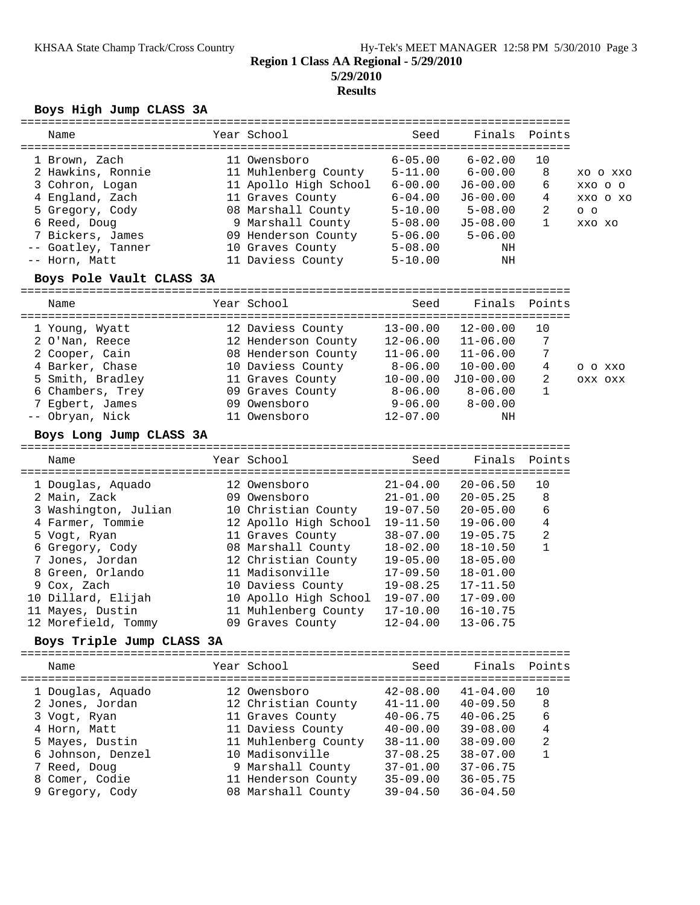# **Results**

## **Boys High Jump CLASS 3A**

| Year School<br>Seed<br>Finals<br>Points<br>Name<br>$6 - 05.00$<br>11 Owensboro<br>$6 - 02.00$<br>10<br>1 Brown, Zach<br>11 Muhlenberg County<br>$5 - 11.00$<br>$6 - 00.00$<br>8<br>2 Hawkins, Ronnie<br>XO O XXO<br>3 Cohron, Logan<br>11 Apollo High School<br>$6 - 00.00$<br>6<br>$J6 - 00.00$<br>XXO O O<br>4 England, Zach<br>11 Graves County<br>$6 - 04.00$<br>4<br>J6-00.00<br>XXO O XO<br>08 Marshall County<br>5 Gregory, Cody<br>$5 - 10.00$<br>2<br>$5 - 08.00$<br>$O$ $O$<br>6 Reed, Doug<br>9 Marshall County<br>1<br>$5 - 08.00$<br>$J5-08.00$<br>XXO XO<br>7 Bickers, James<br>09 Henderson County 5-06.00<br>$5 - 06.00$<br>-- Goatley, Tanner<br>10 Graves County<br>$5 - 08.00$<br>ΝH<br>-- Horn, Matt<br>NH<br>11 Daviess County<br>$5 - 10.00$<br>Boys Pole Vault CLASS 3A<br>Year School<br>Seed<br>Finals<br>Points<br>Name<br>$13 - 00.00$<br>$12 - 00.00$<br>10<br>12 Daviess County<br>1 Young, Wyatt<br>$12 - 06.00$<br>7<br>2 O'Nan, Reece<br>12 Henderson County<br>$11 - 06.00$<br>08 Henderson County<br>$11 - 06.00$<br>7<br>2 Cooper, Cain<br>$11 - 06.00$<br>4 Barker, Chase<br>10 Daviess County<br>$8 - 06.00$<br>4<br>$10 - 00.00$<br>O O XXO<br>5 Smith, Bradley<br>11 Graves County<br>2<br>$10 - 00.00$<br>J10-00.00<br>OXX OXX<br>$\mathbf{1}$<br>6 Chambers, Trey<br>09 Graves County<br>$8 - 06.00$<br>$8-06.00$<br>7 Egbert, James<br>09 Owensboro<br>$9 - 06.00$<br>$8 - 00.00$<br>-- Obryan, Nick<br>11 Owensboro<br>$12 - 07.00$<br>ΝH<br>Boys Long Jump CLASS 3A<br>Finals<br>Year School<br>Seed<br>Points<br>Name<br>12 Owensboro<br>$21 - 04.00$<br>$20 - 06.50$<br>10<br>1 Douglas, Aquado<br>2 Main, Zack<br>09 Owensboro<br>$21 - 01.00$<br>8<br>$20 - 05.25$<br>3 Washington, Julian<br>10 Christian County<br>$19 - 07.50$<br>6<br>$20 - 05.00$<br>12 Apollo High School<br>4<br>4 Farmer, Tommie<br>19-11.50<br>$19 - 06.00$<br>2<br>11 Graves County<br>$38 - 07.00$<br>5 Vogt, Ryan<br>$19 - 05.75$<br>$\mathbf{1}$<br>08 Marshall County<br>$18 - 02.00$<br>6 Gregory, Cody<br>$18 - 10.50$<br>7 Jones, Jordan<br>$19 - 05.00$<br>12 Christian County<br>$18 - 05.00$<br>11 Madisonville<br>8 Green, Orlando<br>$17 - 09.50$<br>$18 - 01.00$<br>10 Daviess County<br>$19 - 08.25$<br>9 Cox, Zach<br>$17 - 11.50$<br>10 Dillard, Elijah<br>10 Apollo High School<br>$19 - 07.00$<br>$17 - 09.00$<br>11 Muhlenberg County<br>11 Mayes, Dustin<br>$17 - 10.00$<br>$16 - 10.75$<br>12 Morefield, Tommy<br>09 Graves County<br>$12 - 04.00$<br>$13 - 06.75$<br>Boys Triple Jump CLASS 3A<br>Finals<br>Year School<br>Seed<br>Points<br>Name<br>$42 - 08.00$<br>$41 - 04.00$<br>1 Douglas, Aquado<br>12 Owensboro<br>10<br>2 Jones, Jordan<br>12 Christian County<br>$41 - 11.00$<br>$40 - 09.50$<br>8<br>11 Graves County<br>$40 - 06.75$<br>6<br>3 Vogt, Ryan<br>$40 - 06.25$<br>11 Daviess County<br>4<br>4 Horn, Matt<br>$40 - 00.00$<br>$39 - 08.00$<br>2<br>5 Mayes, Dustin<br>11 Muhlenberg County<br>$38 - 09.00$<br>$38 - 11.00$<br>10 Madisonville<br>$\mathbf{1}$<br>6 Johnson, Denzel<br>$37 - 08.25$<br>$38 - 07.00$<br>7 Reed, Doug<br>9 Marshall County<br>$37 - 01.00$<br>$37 - 06.75$<br>8 Comer, Codie<br>11 Henderson County<br>$35 - 09.00$<br>$36 - 05.75$<br>08 Marshall County |                 |  |  |              |              |  |  |  |  |  |
|------------------------------------------------------------------------------------------------------------------------------------------------------------------------------------------------------------------------------------------------------------------------------------------------------------------------------------------------------------------------------------------------------------------------------------------------------------------------------------------------------------------------------------------------------------------------------------------------------------------------------------------------------------------------------------------------------------------------------------------------------------------------------------------------------------------------------------------------------------------------------------------------------------------------------------------------------------------------------------------------------------------------------------------------------------------------------------------------------------------------------------------------------------------------------------------------------------------------------------------------------------------------------------------------------------------------------------------------------------------------------------------------------------------------------------------------------------------------------------------------------------------------------------------------------------------------------------------------------------------------------------------------------------------------------------------------------------------------------------------------------------------------------------------------------------------------------------------------------------------------------------------------------------------------------------------------------------------------------------------------------------------------------------------------------------------------------------------------------------------------------------------------------------------------------------------------------------------------------------------------------------------------------------------------------------------------------------------------------------------------------------------------------------------------------------------------------------------------------------------------------------------------------------------------------------------------------------------------------------------------------------------------------------------------------------------------------------------------------------------------------------------------------------------------------------------------------------------------------------------------------------------------------------------------------------------------------------------------------------------------------------------------------------------------------------------------------------------------------------------------------------------------------------------------------------------------------------------------------------------------------------|-----------------|--|--|--------------|--------------|--|--|--|--|--|
|                                                                                                                                                                                                                                                                                                                                                                                                                                                                                                                                                                                                                                                                                                                                                                                                                                                                                                                                                                                                                                                                                                                                                                                                                                                                                                                                                                                                                                                                                                                                                                                                                                                                                                                                                                                                                                                                                                                                                                                                                                                                                                                                                                                                                                                                                                                                                                                                                                                                                                                                                                                                                                                                                                                                                                                                                                                                                                                                                                                                                                                                                                                                                                                                                                                            |                 |  |  |              |              |  |  |  |  |  |
|                                                                                                                                                                                                                                                                                                                                                                                                                                                                                                                                                                                                                                                                                                                                                                                                                                                                                                                                                                                                                                                                                                                                                                                                                                                                                                                                                                                                                                                                                                                                                                                                                                                                                                                                                                                                                                                                                                                                                                                                                                                                                                                                                                                                                                                                                                                                                                                                                                                                                                                                                                                                                                                                                                                                                                                                                                                                                                                                                                                                                                                                                                                                                                                                                                                            |                 |  |  |              |              |  |  |  |  |  |
|                                                                                                                                                                                                                                                                                                                                                                                                                                                                                                                                                                                                                                                                                                                                                                                                                                                                                                                                                                                                                                                                                                                                                                                                                                                                                                                                                                                                                                                                                                                                                                                                                                                                                                                                                                                                                                                                                                                                                                                                                                                                                                                                                                                                                                                                                                                                                                                                                                                                                                                                                                                                                                                                                                                                                                                                                                                                                                                                                                                                                                                                                                                                                                                                                                                            |                 |  |  |              |              |  |  |  |  |  |
|                                                                                                                                                                                                                                                                                                                                                                                                                                                                                                                                                                                                                                                                                                                                                                                                                                                                                                                                                                                                                                                                                                                                                                                                                                                                                                                                                                                                                                                                                                                                                                                                                                                                                                                                                                                                                                                                                                                                                                                                                                                                                                                                                                                                                                                                                                                                                                                                                                                                                                                                                                                                                                                                                                                                                                                                                                                                                                                                                                                                                                                                                                                                                                                                                                                            |                 |  |  |              |              |  |  |  |  |  |
|                                                                                                                                                                                                                                                                                                                                                                                                                                                                                                                                                                                                                                                                                                                                                                                                                                                                                                                                                                                                                                                                                                                                                                                                                                                                                                                                                                                                                                                                                                                                                                                                                                                                                                                                                                                                                                                                                                                                                                                                                                                                                                                                                                                                                                                                                                                                                                                                                                                                                                                                                                                                                                                                                                                                                                                                                                                                                                                                                                                                                                                                                                                                                                                                                                                            |                 |  |  |              |              |  |  |  |  |  |
|                                                                                                                                                                                                                                                                                                                                                                                                                                                                                                                                                                                                                                                                                                                                                                                                                                                                                                                                                                                                                                                                                                                                                                                                                                                                                                                                                                                                                                                                                                                                                                                                                                                                                                                                                                                                                                                                                                                                                                                                                                                                                                                                                                                                                                                                                                                                                                                                                                                                                                                                                                                                                                                                                                                                                                                                                                                                                                                                                                                                                                                                                                                                                                                                                                                            |                 |  |  |              |              |  |  |  |  |  |
|                                                                                                                                                                                                                                                                                                                                                                                                                                                                                                                                                                                                                                                                                                                                                                                                                                                                                                                                                                                                                                                                                                                                                                                                                                                                                                                                                                                                                                                                                                                                                                                                                                                                                                                                                                                                                                                                                                                                                                                                                                                                                                                                                                                                                                                                                                                                                                                                                                                                                                                                                                                                                                                                                                                                                                                                                                                                                                                                                                                                                                                                                                                                                                                                                                                            |                 |  |  |              |              |  |  |  |  |  |
|                                                                                                                                                                                                                                                                                                                                                                                                                                                                                                                                                                                                                                                                                                                                                                                                                                                                                                                                                                                                                                                                                                                                                                                                                                                                                                                                                                                                                                                                                                                                                                                                                                                                                                                                                                                                                                                                                                                                                                                                                                                                                                                                                                                                                                                                                                                                                                                                                                                                                                                                                                                                                                                                                                                                                                                                                                                                                                                                                                                                                                                                                                                                                                                                                                                            |                 |  |  |              |              |  |  |  |  |  |
|                                                                                                                                                                                                                                                                                                                                                                                                                                                                                                                                                                                                                                                                                                                                                                                                                                                                                                                                                                                                                                                                                                                                                                                                                                                                                                                                                                                                                                                                                                                                                                                                                                                                                                                                                                                                                                                                                                                                                                                                                                                                                                                                                                                                                                                                                                                                                                                                                                                                                                                                                                                                                                                                                                                                                                                                                                                                                                                                                                                                                                                                                                                                                                                                                                                            |                 |  |  |              |              |  |  |  |  |  |
|                                                                                                                                                                                                                                                                                                                                                                                                                                                                                                                                                                                                                                                                                                                                                                                                                                                                                                                                                                                                                                                                                                                                                                                                                                                                                                                                                                                                                                                                                                                                                                                                                                                                                                                                                                                                                                                                                                                                                                                                                                                                                                                                                                                                                                                                                                                                                                                                                                                                                                                                                                                                                                                                                                                                                                                                                                                                                                                                                                                                                                                                                                                                                                                                                                                            |                 |  |  |              |              |  |  |  |  |  |
|                                                                                                                                                                                                                                                                                                                                                                                                                                                                                                                                                                                                                                                                                                                                                                                                                                                                                                                                                                                                                                                                                                                                                                                                                                                                                                                                                                                                                                                                                                                                                                                                                                                                                                                                                                                                                                                                                                                                                                                                                                                                                                                                                                                                                                                                                                                                                                                                                                                                                                                                                                                                                                                                                                                                                                                                                                                                                                                                                                                                                                                                                                                                                                                                                                                            |                 |  |  |              |              |  |  |  |  |  |
|                                                                                                                                                                                                                                                                                                                                                                                                                                                                                                                                                                                                                                                                                                                                                                                                                                                                                                                                                                                                                                                                                                                                                                                                                                                                                                                                                                                                                                                                                                                                                                                                                                                                                                                                                                                                                                                                                                                                                                                                                                                                                                                                                                                                                                                                                                                                                                                                                                                                                                                                                                                                                                                                                                                                                                                                                                                                                                                                                                                                                                                                                                                                                                                                                                                            |                 |  |  |              |              |  |  |  |  |  |
|                                                                                                                                                                                                                                                                                                                                                                                                                                                                                                                                                                                                                                                                                                                                                                                                                                                                                                                                                                                                                                                                                                                                                                                                                                                                                                                                                                                                                                                                                                                                                                                                                                                                                                                                                                                                                                                                                                                                                                                                                                                                                                                                                                                                                                                                                                                                                                                                                                                                                                                                                                                                                                                                                                                                                                                                                                                                                                                                                                                                                                                                                                                                                                                                                                                            |                 |  |  |              |              |  |  |  |  |  |
|                                                                                                                                                                                                                                                                                                                                                                                                                                                                                                                                                                                                                                                                                                                                                                                                                                                                                                                                                                                                                                                                                                                                                                                                                                                                                                                                                                                                                                                                                                                                                                                                                                                                                                                                                                                                                                                                                                                                                                                                                                                                                                                                                                                                                                                                                                                                                                                                                                                                                                                                                                                                                                                                                                                                                                                                                                                                                                                                                                                                                                                                                                                                                                                                                                                            |                 |  |  |              |              |  |  |  |  |  |
|                                                                                                                                                                                                                                                                                                                                                                                                                                                                                                                                                                                                                                                                                                                                                                                                                                                                                                                                                                                                                                                                                                                                                                                                                                                                                                                                                                                                                                                                                                                                                                                                                                                                                                                                                                                                                                                                                                                                                                                                                                                                                                                                                                                                                                                                                                                                                                                                                                                                                                                                                                                                                                                                                                                                                                                                                                                                                                                                                                                                                                                                                                                                                                                                                                                            |                 |  |  |              |              |  |  |  |  |  |
|                                                                                                                                                                                                                                                                                                                                                                                                                                                                                                                                                                                                                                                                                                                                                                                                                                                                                                                                                                                                                                                                                                                                                                                                                                                                                                                                                                                                                                                                                                                                                                                                                                                                                                                                                                                                                                                                                                                                                                                                                                                                                                                                                                                                                                                                                                                                                                                                                                                                                                                                                                                                                                                                                                                                                                                                                                                                                                                                                                                                                                                                                                                                                                                                                                                            |                 |  |  |              |              |  |  |  |  |  |
|                                                                                                                                                                                                                                                                                                                                                                                                                                                                                                                                                                                                                                                                                                                                                                                                                                                                                                                                                                                                                                                                                                                                                                                                                                                                                                                                                                                                                                                                                                                                                                                                                                                                                                                                                                                                                                                                                                                                                                                                                                                                                                                                                                                                                                                                                                                                                                                                                                                                                                                                                                                                                                                                                                                                                                                                                                                                                                                                                                                                                                                                                                                                                                                                                                                            |                 |  |  |              |              |  |  |  |  |  |
|                                                                                                                                                                                                                                                                                                                                                                                                                                                                                                                                                                                                                                                                                                                                                                                                                                                                                                                                                                                                                                                                                                                                                                                                                                                                                                                                                                                                                                                                                                                                                                                                                                                                                                                                                                                                                                                                                                                                                                                                                                                                                                                                                                                                                                                                                                                                                                                                                                                                                                                                                                                                                                                                                                                                                                                                                                                                                                                                                                                                                                                                                                                                                                                                                                                            |                 |  |  |              |              |  |  |  |  |  |
|                                                                                                                                                                                                                                                                                                                                                                                                                                                                                                                                                                                                                                                                                                                                                                                                                                                                                                                                                                                                                                                                                                                                                                                                                                                                                                                                                                                                                                                                                                                                                                                                                                                                                                                                                                                                                                                                                                                                                                                                                                                                                                                                                                                                                                                                                                                                                                                                                                                                                                                                                                                                                                                                                                                                                                                                                                                                                                                                                                                                                                                                                                                                                                                                                                                            |                 |  |  |              |              |  |  |  |  |  |
|                                                                                                                                                                                                                                                                                                                                                                                                                                                                                                                                                                                                                                                                                                                                                                                                                                                                                                                                                                                                                                                                                                                                                                                                                                                                                                                                                                                                                                                                                                                                                                                                                                                                                                                                                                                                                                                                                                                                                                                                                                                                                                                                                                                                                                                                                                                                                                                                                                                                                                                                                                                                                                                                                                                                                                                                                                                                                                                                                                                                                                                                                                                                                                                                                                                            |                 |  |  |              |              |  |  |  |  |  |
|                                                                                                                                                                                                                                                                                                                                                                                                                                                                                                                                                                                                                                                                                                                                                                                                                                                                                                                                                                                                                                                                                                                                                                                                                                                                                                                                                                                                                                                                                                                                                                                                                                                                                                                                                                                                                                                                                                                                                                                                                                                                                                                                                                                                                                                                                                                                                                                                                                                                                                                                                                                                                                                                                                                                                                                                                                                                                                                                                                                                                                                                                                                                                                                                                                                            |                 |  |  |              |              |  |  |  |  |  |
|                                                                                                                                                                                                                                                                                                                                                                                                                                                                                                                                                                                                                                                                                                                                                                                                                                                                                                                                                                                                                                                                                                                                                                                                                                                                                                                                                                                                                                                                                                                                                                                                                                                                                                                                                                                                                                                                                                                                                                                                                                                                                                                                                                                                                                                                                                                                                                                                                                                                                                                                                                                                                                                                                                                                                                                                                                                                                                                                                                                                                                                                                                                                                                                                                                                            |                 |  |  |              |              |  |  |  |  |  |
|                                                                                                                                                                                                                                                                                                                                                                                                                                                                                                                                                                                                                                                                                                                                                                                                                                                                                                                                                                                                                                                                                                                                                                                                                                                                                                                                                                                                                                                                                                                                                                                                                                                                                                                                                                                                                                                                                                                                                                                                                                                                                                                                                                                                                                                                                                                                                                                                                                                                                                                                                                                                                                                                                                                                                                                                                                                                                                                                                                                                                                                                                                                                                                                                                                                            |                 |  |  |              |              |  |  |  |  |  |
|                                                                                                                                                                                                                                                                                                                                                                                                                                                                                                                                                                                                                                                                                                                                                                                                                                                                                                                                                                                                                                                                                                                                                                                                                                                                                                                                                                                                                                                                                                                                                                                                                                                                                                                                                                                                                                                                                                                                                                                                                                                                                                                                                                                                                                                                                                                                                                                                                                                                                                                                                                                                                                                                                                                                                                                                                                                                                                                                                                                                                                                                                                                                                                                                                                                            |                 |  |  |              |              |  |  |  |  |  |
|                                                                                                                                                                                                                                                                                                                                                                                                                                                                                                                                                                                                                                                                                                                                                                                                                                                                                                                                                                                                                                                                                                                                                                                                                                                                                                                                                                                                                                                                                                                                                                                                                                                                                                                                                                                                                                                                                                                                                                                                                                                                                                                                                                                                                                                                                                                                                                                                                                                                                                                                                                                                                                                                                                                                                                                                                                                                                                                                                                                                                                                                                                                                                                                                                                                            |                 |  |  |              |              |  |  |  |  |  |
|                                                                                                                                                                                                                                                                                                                                                                                                                                                                                                                                                                                                                                                                                                                                                                                                                                                                                                                                                                                                                                                                                                                                                                                                                                                                                                                                                                                                                                                                                                                                                                                                                                                                                                                                                                                                                                                                                                                                                                                                                                                                                                                                                                                                                                                                                                                                                                                                                                                                                                                                                                                                                                                                                                                                                                                                                                                                                                                                                                                                                                                                                                                                                                                                                                                            |                 |  |  |              |              |  |  |  |  |  |
|                                                                                                                                                                                                                                                                                                                                                                                                                                                                                                                                                                                                                                                                                                                                                                                                                                                                                                                                                                                                                                                                                                                                                                                                                                                                                                                                                                                                                                                                                                                                                                                                                                                                                                                                                                                                                                                                                                                                                                                                                                                                                                                                                                                                                                                                                                                                                                                                                                                                                                                                                                                                                                                                                                                                                                                                                                                                                                                                                                                                                                                                                                                                                                                                                                                            |                 |  |  |              |              |  |  |  |  |  |
|                                                                                                                                                                                                                                                                                                                                                                                                                                                                                                                                                                                                                                                                                                                                                                                                                                                                                                                                                                                                                                                                                                                                                                                                                                                                                                                                                                                                                                                                                                                                                                                                                                                                                                                                                                                                                                                                                                                                                                                                                                                                                                                                                                                                                                                                                                                                                                                                                                                                                                                                                                                                                                                                                                                                                                                                                                                                                                                                                                                                                                                                                                                                                                                                                                                            |                 |  |  |              |              |  |  |  |  |  |
|                                                                                                                                                                                                                                                                                                                                                                                                                                                                                                                                                                                                                                                                                                                                                                                                                                                                                                                                                                                                                                                                                                                                                                                                                                                                                                                                                                                                                                                                                                                                                                                                                                                                                                                                                                                                                                                                                                                                                                                                                                                                                                                                                                                                                                                                                                                                                                                                                                                                                                                                                                                                                                                                                                                                                                                                                                                                                                                                                                                                                                                                                                                                                                                                                                                            |                 |  |  |              |              |  |  |  |  |  |
|                                                                                                                                                                                                                                                                                                                                                                                                                                                                                                                                                                                                                                                                                                                                                                                                                                                                                                                                                                                                                                                                                                                                                                                                                                                                                                                                                                                                                                                                                                                                                                                                                                                                                                                                                                                                                                                                                                                                                                                                                                                                                                                                                                                                                                                                                                                                                                                                                                                                                                                                                                                                                                                                                                                                                                                                                                                                                                                                                                                                                                                                                                                                                                                                                                                            |                 |  |  |              |              |  |  |  |  |  |
|                                                                                                                                                                                                                                                                                                                                                                                                                                                                                                                                                                                                                                                                                                                                                                                                                                                                                                                                                                                                                                                                                                                                                                                                                                                                                                                                                                                                                                                                                                                                                                                                                                                                                                                                                                                                                                                                                                                                                                                                                                                                                                                                                                                                                                                                                                                                                                                                                                                                                                                                                                                                                                                                                                                                                                                                                                                                                                                                                                                                                                                                                                                                                                                                                                                            |                 |  |  |              |              |  |  |  |  |  |
|                                                                                                                                                                                                                                                                                                                                                                                                                                                                                                                                                                                                                                                                                                                                                                                                                                                                                                                                                                                                                                                                                                                                                                                                                                                                                                                                                                                                                                                                                                                                                                                                                                                                                                                                                                                                                                                                                                                                                                                                                                                                                                                                                                                                                                                                                                                                                                                                                                                                                                                                                                                                                                                                                                                                                                                                                                                                                                                                                                                                                                                                                                                                                                                                                                                            |                 |  |  |              |              |  |  |  |  |  |
|                                                                                                                                                                                                                                                                                                                                                                                                                                                                                                                                                                                                                                                                                                                                                                                                                                                                                                                                                                                                                                                                                                                                                                                                                                                                                                                                                                                                                                                                                                                                                                                                                                                                                                                                                                                                                                                                                                                                                                                                                                                                                                                                                                                                                                                                                                                                                                                                                                                                                                                                                                                                                                                                                                                                                                                                                                                                                                                                                                                                                                                                                                                                                                                                                                                            |                 |  |  |              |              |  |  |  |  |  |
|                                                                                                                                                                                                                                                                                                                                                                                                                                                                                                                                                                                                                                                                                                                                                                                                                                                                                                                                                                                                                                                                                                                                                                                                                                                                                                                                                                                                                                                                                                                                                                                                                                                                                                                                                                                                                                                                                                                                                                                                                                                                                                                                                                                                                                                                                                                                                                                                                                                                                                                                                                                                                                                                                                                                                                                                                                                                                                                                                                                                                                                                                                                                                                                                                                                            |                 |  |  |              |              |  |  |  |  |  |
|                                                                                                                                                                                                                                                                                                                                                                                                                                                                                                                                                                                                                                                                                                                                                                                                                                                                                                                                                                                                                                                                                                                                                                                                                                                                                                                                                                                                                                                                                                                                                                                                                                                                                                                                                                                                                                                                                                                                                                                                                                                                                                                                                                                                                                                                                                                                                                                                                                                                                                                                                                                                                                                                                                                                                                                                                                                                                                                                                                                                                                                                                                                                                                                                                                                            |                 |  |  |              |              |  |  |  |  |  |
|                                                                                                                                                                                                                                                                                                                                                                                                                                                                                                                                                                                                                                                                                                                                                                                                                                                                                                                                                                                                                                                                                                                                                                                                                                                                                                                                                                                                                                                                                                                                                                                                                                                                                                                                                                                                                                                                                                                                                                                                                                                                                                                                                                                                                                                                                                                                                                                                                                                                                                                                                                                                                                                                                                                                                                                                                                                                                                                                                                                                                                                                                                                                                                                                                                                            |                 |  |  |              |              |  |  |  |  |  |
|                                                                                                                                                                                                                                                                                                                                                                                                                                                                                                                                                                                                                                                                                                                                                                                                                                                                                                                                                                                                                                                                                                                                                                                                                                                                                                                                                                                                                                                                                                                                                                                                                                                                                                                                                                                                                                                                                                                                                                                                                                                                                                                                                                                                                                                                                                                                                                                                                                                                                                                                                                                                                                                                                                                                                                                                                                                                                                                                                                                                                                                                                                                                                                                                                                                            |                 |  |  |              |              |  |  |  |  |  |
|                                                                                                                                                                                                                                                                                                                                                                                                                                                                                                                                                                                                                                                                                                                                                                                                                                                                                                                                                                                                                                                                                                                                                                                                                                                                                                                                                                                                                                                                                                                                                                                                                                                                                                                                                                                                                                                                                                                                                                                                                                                                                                                                                                                                                                                                                                                                                                                                                                                                                                                                                                                                                                                                                                                                                                                                                                                                                                                                                                                                                                                                                                                                                                                                                                                            |                 |  |  |              |              |  |  |  |  |  |
|                                                                                                                                                                                                                                                                                                                                                                                                                                                                                                                                                                                                                                                                                                                                                                                                                                                                                                                                                                                                                                                                                                                                                                                                                                                                                                                                                                                                                                                                                                                                                                                                                                                                                                                                                                                                                                                                                                                                                                                                                                                                                                                                                                                                                                                                                                                                                                                                                                                                                                                                                                                                                                                                                                                                                                                                                                                                                                                                                                                                                                                                                                                                                                                                                                                            |                 |  |  |              |              |  |  |  |  |  |
|                                                                                                                                                                                                                                                                                                                                                                                                                                                                                                                                                                                                                                                                                                                                                                                                                                                                                                                                                                                                                                                                                                                                                                                                                                                                                                                                                                                                                                                                                                                                                                                                                                                                                                                                                                                                                                                                                                                                                                                                                                                                                                                                                                                                                                                                                                                                                                                                                                                                                                                                                                                                                                                                                                                                                                                                                                                                                                                                                                                                                                                                                                                                                                                                                                                            |                 |  |  |              |              |  |  |  |  |  |
|                                                                                                                                                                                                                                                                                                                                                                                                                                                                                                                                                                                                                                                                                                                                                                                                                                                                                                                                                                                                                                                                                                                                                                                                                                                                                                                                                                                                                                                                                                                                                                                                                                                                                                                                                                                                                                                                                                                                                                                                                                                                                                                                                                                                                                                                                                                                                                                                                                                                                                                                                                                                                                                                                                                                                                                                                                                                                                                                                                                                                                                                                                                                                                                                                                                            |                 |  |  |              |              |  |  |  |  |  |
|                                                                                                                                                                                                                                                                                                                                                                                                                                                                                                                                                                                                                                                                                                                                                                                                                                                                                                                                                                                                                                                                                                                                                                                                                                                                                                                                                                                                                                                                                                                                                                                                                                                                                                                                                                                                                                                                                                                                                                                                                                                                                                                                                                                                                                                                                                                                                                                                                                                                                                                                                                                                                                                                                                                                                                                                                                                                                                                                                                                                                                                                                                                                                                                                                                                            |                 |  |  |              |              |  |  |  |  |  |
|                                                                                                                                                                                                                                                                                                                                                                                                                                                                                                                                                                                                                                                                                                                                                                                                                                                                                                                                                                                                                                                                                                                                                                                                                                                                                                                                                                                                                                                                                                                                                                                                                                                                                                                                                                                                                                                                                                                                                                                                                                                                                                                                                                                                                                                                                                                                                                                                                                                                                                                                                                                                                                                                                                                                                                                                                                                                                                                                                                                                                                                                                                                                                                                                                                                            |                 |  |  |              |              |  |  |  |  |  |
|                                                                                                                                                                                                                                                                                                                                                                                                                                                                                                                                                                                                                                                                                                                                                                                                                                                                                                                                                                                                                                                                                                                                                                                                                                                                                                                                                                                                                                                                                                                                                                                                                                                                                                                                                                                                                                                                                                                                                                                                                                                                                                                                                                                                                                                                                                                                                                                                                                                                                                                                                                                                                                                                                                                                                                                                                                                                                                                                                                                                                                                                                                                                                                                                                                                            |                 |  |  |              |              |  |  |  |  |  |
|                                                                                                                                                                                                                                                                                                                                                                                                                                                                                                                                                                                                                                                                                                                                                                                                                                                                                                                                                                                                                                                                                                                                                                                                                                                                                                                                                                                                                                                                                                                                                                                                                                                                                                                                                                                                                                                                                                                                                                                                                                                                                                                                                                                                                                                                                                                                                                                                                                                                                                                                                                                                                                                                                                                                                                                                                                                                                                                                                                                                                                                                                                                                                                                                                                                            |                 |  |  |              |              |  |  |  |  |  |
|                                                                                                                                                                                                                                                                                                                                                                                                                                                                                                                                                                                                                                                                                                                                                                                                                                                                                                                                                                                                                                                                                                                                                                                                                                                                                                                                                                                                                                                                                                                                                                                                                                                                                                                                                                                                                                                                                                                                                                                                                                                                                                                                                                                                                                                                                                                                                                                                                                                                                                                                                                                                                                                                                                                                                                                                                                                                                                                                                                                                                                                                                                                                                                                                                                                            |                 |  |  |              |              |  |  |  |  |  |
|                                                                                                                                                                                                                                                                                                                                                                                                                                                                                                                                                                                                                                                                                                                                                                                                                                                                                                                                                                                                                                                                                                                                                                                                                                                                                                                                                                                                                                                                                                                                                                                                                                                                                                                                                                                                                                                                                                                                                                                                                                                                                                                                                                                                                                                                                                                                                                                                                                                                                                                                                                                                                                                                                                                                                                                                                                                                                                                                                                                                                                                                                                                                                                                                                                                            |                 |  |  |              |              |  |  |  |  |  |
|                                                                                                                                                                                                                                                                                                                                                                                                                                                                                                                                                                                                                                                                                                                                                                                                                                                                                                                                                                                                                                                                                                                                                                                                                                                                                                                                                                                                                                                                                                                                                                                                                                                                                                                                                                                                                                                                                                                                                                                                                                                                                                                                                                                                                                                                                                                                                                                                                                                                                                                                                                                                                                                                                                                                                                                                                                                                                                                                                                                                                                                                                                                                                                                                                                                            |                 |  |  |              |              |  |  |  |  |  |
|                                                                                                                                                                                                                                                                                                                                                                                                                                                                                                                                                                                                                                                                                                                                                                                                                                                                                                                                                                                                                                                                                                                                                                                                                                                                                                                                                                                                                                                                                                                                                                                                                                                                                                                                                                                                                                                                                                                                                                                                                                                                                                                                                                                                                                                                                                                                                                                                                                                                                                                                                                                                                                                                                                                                                                                                                                                                                                                                                                                                                                                                                                                                                                                                                                                            |                 |  |  |              |              |  |  |  |  |  |
|                                                                                                                                                                                                                                                                                                                                                                                                                                                                                                                                                                                                                                                                                                                                                                                                                                                                                                                                                                                                                                                                                                                                                                                                                                                                                                                                                                                                                                                                                                                                                                                                                                                                                                                                                                                                                                                                                                                                                                                                                                                                                                                                                                                                                                                                                                                                                                                                                                                                                                                                                                                                                                                                                                                                                                                                                                                                                                                                                                                                                                                                                                                                                                                                                                                            | 9 Gregory, Cody |  |  | $39 - 04.50$ | $36 - 04.50$ |  |  |  |  |  |